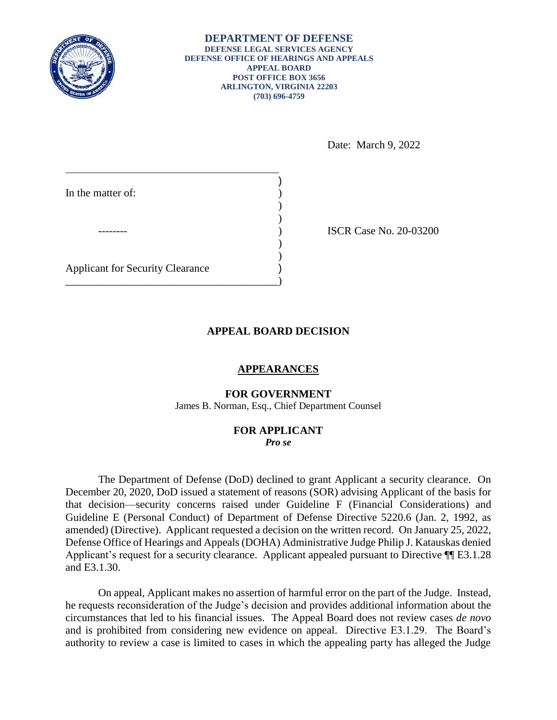

and E3.1.30.

**DEPARTMENT OF DEFENSE DEFENSE LEGAL SERVICES AGENCY DEFENSE OFFICE OF HEARINGS AND APPEALS APPEAL BOARD POST OFFICE BOX 3656 ARLINGTON, VIRGINIA 22203 (703) 696-4759** 

Date: March 9, 2022

| In the matter of:                       |  |
|-----------------------------------------|--|
|                                         |  |
|                                         |  |
| <b>Applicant for Security Clearance</b> |  |

ISCR Case No. 20-03200

## **APPEAL BOARD DECISION**

### **APPEARANCES**

### **FOR GOVERNMENT**

James B. Norman, Esq., Chief Department Counsel

#### **FOR APPLICANT**  *Pro se*

 The Department of Defense (DoD) declined to grant Applicant a security clearance. On that decision—security concerns raised under Guideline F (Financial Considerations) and Guideline E (Personal Conduct) of Department of Defense Directive 5220.6 (Jan. 2, 1992, as amended) (Directive). Applicant requested a decision on the written record. On January 25, 2022, Defense Office of Hearings and Appeals (DOHA) Administrative Judge Philip J. Katauskas denied December 20, 2020, DoD issued a statement of reasons (SOR) advising Applicant of the basis for Applicant's request for a security clearance. Applicant appealed pursuant to Directive ¶¶ E3.1.28

 On appeal, Applicant makes no assertion of harmful error on the part of the Judge. Instead, circumstances that led to his financial issues. The Appeal Board does not review cases *de novo*  and is prohibited from considering new evidence on appeal. Directive E3.1.29. The Board's authority to review a case is limited to cases in which the appealing party has alleged the Judge he requests reconsideration of the Judge's decision and provides additional information about the